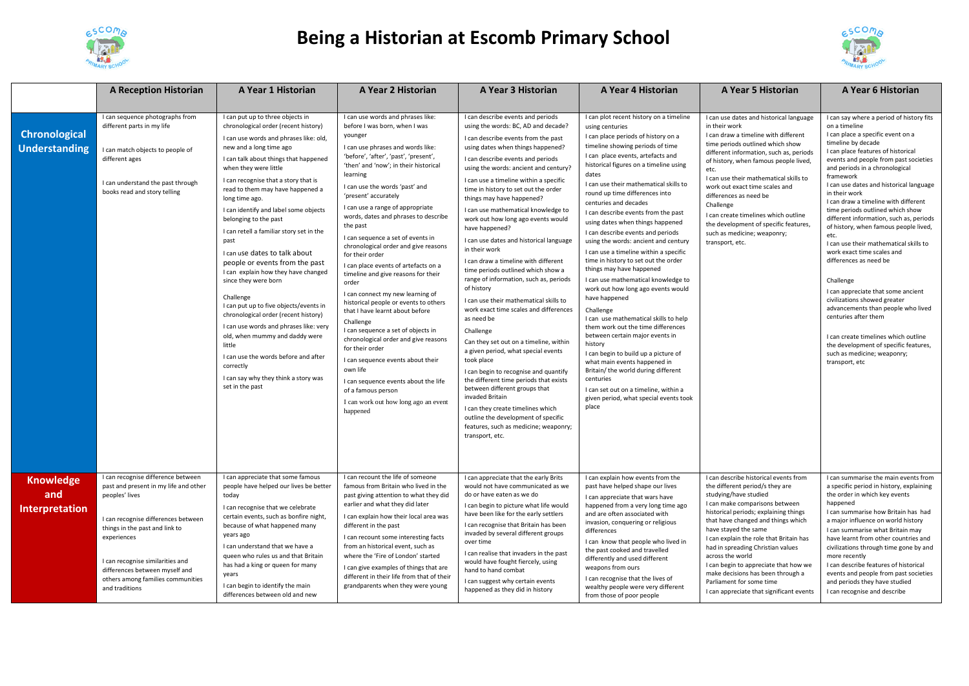

## **Being a Historian at Escomb Primary School**



|                                                  | <b>A Reception Historian</b>                                                                                                                                                                                                                                                 | A Year 1 Historian                                                                                                                                                                                                                                                                                                                                                                                                                                                                                                                                                                                                                                                                                                                                                                                                                                                                                              | A Year 2 Historian                                                                                                                                                                                                                                                                                                                                                                                                                                                                                                                                                                                                                                                                                                                                                                                                                                                                                                                                                                               | A Year 3 Historian                                                                                                                                                                                                                                                                                                                                                                                                                                                                                                                                                                                                                                                                                                                                                                                                                                                                                                                                                                                                                                                                                                                                                                       | A Year 4 Historian                                                                                                                                                                                                                                                                                                                                                                                                                                                                                                                                                                                                                                                                                                                                                                                                                                                                                                                                                                                                                                                                                            | A Year 5 Historian                                                                                                                                                                                                                                                                                                                                                                                                                                                                                                              | A Year 6 Historian                                                                                                                                                                                                                                                                                                                                                                                                                                                                                                                                                                                                                                                                                                                                                                                                                                                                                                  |
|--------------------------------------------------|------------------------------------------------------------------------------------------------------------------------------------------------------------------------------------------------------------------------------------------------------------------------------|-----------------------------------------------------------------------------------------------------------------------------------------------------------------------------------------------------------------------------------------------------------------------------------------------------------------------------------------------------------------------------------------------------------------------------------------------------------------------------------------------------------------------------------------------------------------------------------------------------------------------------------------------------------------------------------------------------------------------------------------------------------------------------------------------------------------------------------------------------------------------------------------------------------------|--------------------------------------------------------------------------------------------------------------------------------------------------------------------------------------------------------------------------------------------------------------------------------------------------------------------------------------------------------------------------------------------------------------------------------------------------------------------------------------------------------------------------------------------------------------------------------------------------------------------------------------------------------------------------------------------------------------------------------------------------------------------------------------------------------------------------------------------------------------------------------------------------------------------------------------------------------------------------------------------------|------------------------------------------------------------------------------------------------------------------------------------------------------------------------------------------------------------------------------------------------------------------------------------------------------------------------------------------------------------------------------------------------------------------------------------------------------------------------------------------------------------------------------------------------------------------------------------------------------------------------------------------------------------------------------------------------------------------------------------------------------------------------------------------------------------------------------------------------------------------------------------------------------------------------------------------------------------------------------------------------------------------------------------------------------------------------------------------------------------------------------------------------------------------------------------------|---------------------------------------------------------------------------------------------------------------------------------------------------------------------------------------------------------------------------------------------------------------------------------------------------------------------------------------------------------------------------------------------------------------------------------------------------------------------------------------------------------------------------------------------------------------------------------------------------------------------------------------------------------------------------------------------------------------------------------------------------------------------------------------------------------------------------------------------------------------------------------------------------------------------------------------------------------------------------------------------------------------------------------------------------------------------------------------------------------------|---------------------------------------------------------------------------------------------------------------------------------------------------------------------------------------------------------------------------------------------------------------------------------------------------------------------------------------------------------------------------------------------------------------------------------------------------------------------------------------------------------------------------------|---------------------------------------------------------------------------------------------------------------------------------------------------------------------------------------------------------------------------------------------------------------------------------------------------------------------------------------------------------------------------------------------------------------------------------------------------------------------------------------------------------------------------------------------------------------------------------------------------------------------------------------------------------------------------------------------------------------------------------------------------------------------------------------------------------------------------------------------------------------------------------------------------------------------|
|                                                  |                                                                                                                                                                                                                                                                              |                                                                                                                                                                                                                                                                                                                                                                                                                                                                                                                                                                                                                                                                                                                                                                                                                                                                                                                 |                                                                                                                                                                                                                                                                                                                                                                                                                                                                                                                                                                                                                                                                                                                                                                                                                                                                                                                                                                                                  |                                                                                                                                                                                                                                                                                                                                                                                                                                                                                                                                                                                                                                                                                                                                                                                                                                                                                                                                                                                                                                                                                                                                                                                          |                                                                                                                                                                                                                                                                                                                                                                                                                                                                                                                                                                                                                                                                                                                                                                                                                                                                                                                                                                                                                                                                                                               |                                                                                                                                                                                                                                                                                                                                                                                                                                                                                                                                 |                                                                                                                                                                                                                                                                                                                                                                                                                                                                                                                                                                                                                                                                                                                                                                                                                                                                                                                     |
| <b>Chronological</b><br><b>Understanding</b>     | I can sequence photographs from<br>different parts in my life<br>I can match objects to people of<br>different ages<br>I can understand the past through<br>books read and story telling<br>I can recognise difference between                                               | I can put up to three objects in<br>chronological order (recent history)<br>I can use words and phrases like: old,<br>new and a long time ago<br>I can talk about things that happened<br>when they were little<br>I can recognise that a story that is<br>read to them may have happened a<br>long time ago.<br>I can identify and label some objects<br>belonging to the past<br>I can retell a familiar story set in the<br>past<br>I can use dates to talk about<br>people or events from the past<br>I can explain how they have changed<br>since they were born<br>Challenge<br>I can put up to five objects/events in<br>chronological order (recent history)<br>I can use words and phrases like: very<br>old, when mummy and daddy were<br>little<br>I can use the words before and after<br>correctly<br>I can say why they think a story was<br>set in the past<br>I can appreciate that some famous | I can use words and phrases like:<br>before I was born, when I was<br>younger<br>I can use phrases and words like:<br>'before', 'after', 'past', 'present',<br>'then' and 'now'; in their historical<br>learning<br>I can use the words 'past' and<br>'present' accurately<br>I can use a range of appropriate<br>words, dates and phrases to describe<br>the past<br>I can sequence a set of events in<br>chronological order and give reasons<br>for their order<br>I can place events of artefacts on a<br>timeline and give reasons for their<br>order<br>I can connect my new learning of<br>historical people or events to others<br>that I have learnt about before<br>Challenge<br>I can sequence a set of objects in<br>chronological order and give reasons<br>for their order<br>I can sequence events about their<br>own life<br>I can sequence events about the life<br>of a famous person<br>I can work out how long ago an event<br>happened<br>I can recount the life of someone | I can describe events and periods<br>using the words: BC, AD and decade?<br>I can describe events from the past<br>using dates when things happened?<br>I can describe events and periods<br>using the words: ancient and century?<br>I can use a timeline within a specific<br>time in history to set out the order<br>things may have happened?<br>I can use mathematical knowledge to<br>work out how long ago events would<br>have happened?<br>I can use dates and historical language<br>in their work<br>I can draw a timeline with different<br>time periods outlined which show a<br>range of information, such as, periods<br>of history<br>I can use their mathematical skills to<br>work exact time scales and differences<br>as need be<br>Challenge<br>Can they set out on a timeline, within<br>a given period, what special events<br>took place<br>I can begin to recognise and quantify<br>the different time periods that exists<br>between different groups that<br>invaded Britain<br>I can they create timelines which<br>outline the development of specific<br>features, such as medicine; weaponry;<br>transport, etc.<br>I can appreciate that the early Brits | I can plot recent history on a timeline<br>using centuries<br>I can place periods of history on a<br>timeline showing periods of time<br>I can place events, artefacts and<br>historical figures on a timeline using<br>dates<br>I can use their mathematical skills to<br>round up time differences into<br>centuries and decades<br>I can describe events from the past<br>using dates when things happened<br>I can describe events and periods<br>using the words: ancient and century<br>I can use a timeline within a specific<br>time in history to set out the order<br>things may have happened<br>I can use mathematical knowledge to<br>work out how long ago events would<br>have happened<br>Challenge<br>I can use mathematical skills to help<br>them work out the time differences<br>between certain major events in<br>history<br>I can begin to build up a picture of<br>what main events happened in<br>Britain/ the world during different<br>centuries<br>I can set out on a timeline, within a<br>given period, what special events took<br>place<br>I can explain how events from the | I can use dates and historical language<br>in their work<br>I can draw a timeline with different<br>time periods outlined which show<br>different information, such as, periods<br>of history, when famous people lived,<br>etc.<br>I can use their mathematical skills to<br>work out exact time scales and<br>differences as need be<br>Challenge<br>I can create timelines which outline<br>the development of specific features,<br>such as medicine; weaponry;<br>transport, etc.<br>I can describe historical events from | I can say where a period of history fits<br>on a timeline<br>I can place a specific event on a<br>timeline by decade<br>I can place features of historical<br>events and people from past societies<br>and periods in a chronological<br>framework<br>I can use dates and historical language<br>in their work<br>I can draw a timeline with different<br>time periods outlined which show<br>different information, such as, periods<br>of history, when famous people lived,<br>etc.<br>I can use their mathematical skills to<br>work exact time scales and<br>differences as need be<br>Challenge<br>I can appreciate that some ancient<br>civilizations showed greater<br>advancements than people who lived<br>centuries after them<br>I can create timelines which outline<br>the development of specific features,<br>such as medicine; weaponry;<br>transport, etc<br>I can summarise the main events from |
| <b>Knowledge</b><br>and<br><b>Interpretation</b> | past and present in my life and other<br>peoples' lives<br>I can recognise differences between<br>things in the past and link to<br>experiences<br>I can recognise similarities and<br>differences between myself and<br>others among families communities<br>and traditions | people have helped our lives be better<br>todav<br>I can recognise that we celebrate<br>certain events, such as bonfire night,<br>because of what happened many<br>years ago<br>I can understand that we have a<br>queen who rules us and that Britain<br>has had a king or queen for many<br>years<br>I can begin to identify the main<br>differences between old and new                                                                                                                                                                                                                                                                                                                                                                                                                                                                                                                                      | famous from Britain who lived in the<br>past giving attention to what they did<br>earlier and what they did later<br>I can explain how their local area was<br>different in the past<br>I can recount some interesting facts<br>from an historical event, such as<br>where the 'Fire of London' started<br>I can give examples of things that are<br>different in their life from that of their<br>grandparents when they were young                                                                                                                                                                                                                                                                                                                                                                                                                                                                                                                                                             | would not have communicated as we<br>do or have eaten as we do<br>I can begin to picture what life would<br>have been like for the early settlers<br>I can recognise that Britain has been<br>invaded by several different groups<br>over time<br>I can realise that invaders in the past<br>would have fought fiercely, using<br>hand to hand combat<br>I can suggest why certain events<br>happened as they did in history                                                                                                                                                                                                                                                                                                                                                                                                                                                                                                                                                                                                                                                                                                                                                             | past have helped shape our lives<br>I can appreciate that wars have<br>happened from a very long time ago<br>and are often associated with<br>invasion, conquering or religious<br>differences<br>I can know that people who lived in<br>the past cooked and travelled<br>differently and used different<br>weapons from ours<br>I can recognise that the lives of<br>wealthy people were very different<br>from those of poor people                                                                                                                                                                                                                                                                                                                                                                                                                                                                                                                                                                                                                                                                         | the different period/s they are<br>studying/have studied<br>I can make comparisons between<br>historical periods; explaining things<br>that have changed and things which<br>have stayed the same<br>I can explain the role that Britain has<br>had in spreading Christian values<br>across the world<br>I can begin to appreciate that how we<br>make decisions has been through a<br>Parliament for some time<br>I can appreciate that significant events                                                                     | a specific period in history, explaining<br>the order in which key events<br>happened<br>I can summarise how Britain has had<br>a major influence on world history<br>I can summarise what Britain may<br>have learnt from other countries and<br>civilizations through time gone by and<br>more recently<br>I can describe features of historical<br>events and people from past societies<br>and periods they have studied<br>I can recognise and describe                                                                                                                                                                                                                                                                                                                                                                                                                                                        |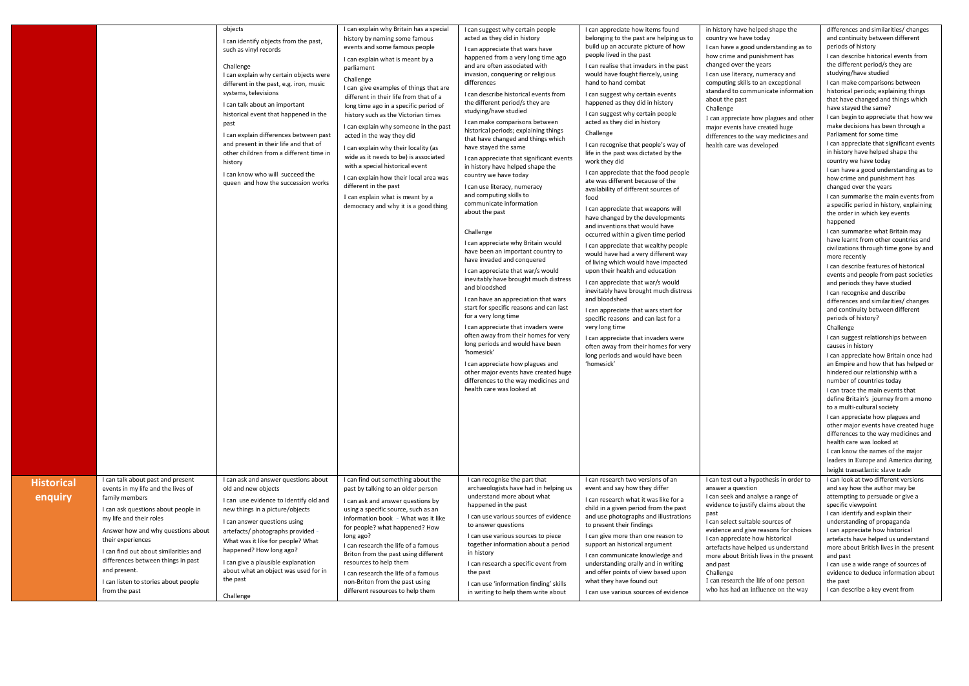|                       |                                                                                                                                                                                                                                                                                                                                                                                | objects<br>I can identify objects from the past,<br>such as vinyl records<br>Challenge<br>I can explain why certain objects were<br>different in the past, e.g. iron, music<br>systems, televisions<br>I can talk about an important<br>historical event that happened in the<br>past<br>I can explain differences between past<br>and present in their life and that of<br>other children from a different time in<br>history<br>I can know who will succeed the<br>queen and how the succession works | I can explain why Britain has a special<br>history by naming some famous<br>events and some famous people<br>I can explain what is meant by a<br>parliament<br>Challenge<br>I can give examples of things that are<br>different in their life from that of a<br>long time ago in a specific period of<br>history such as the Victorian times<br>I can explain why someone in the past<br>acted in the way they did<br>I can explain why their locality (as<br>wide as it needs to be) is associated<br>with a special historical event<br>I can explain how their local area was<br>different in the past<br>I can explain what is meant by a<br>democracy and why it is a good thing | I can suggest why certain people<br>acted as they did in history<br>I can appreciate that wars have<br>happened from a very long time ago<br>and are often associated with<br>invasion, conquering or religious<br>differences<br>I can describe historical events from<br>the different period/s they are<br>studying/have studied<br>I can make comparisons between<br>historical periods; explaining things<br>that have changed and things which<br>have stayed the same<br>I can appreciate that significant events<br>in history have helped shape the<br>country we have today<br>I can use literacy, numeracy<br>and computing skills to<br>communicate information<br>about the past<br>Challenge<br>I can appreciate why Britain would<br>have been an important country to<br>have invaded and conquered<br>I can appreciate that war/s would<br>inevitably have brought much distress<br>and bloodshed<br>I can have an appreciation that wars<br>start for specific reasons and can last<br>for a very long time<br>I can appreciate that invaders were<br>often away from their homes for very<br>long periods and would have been<br>'homesick'<br>I can appreciate how plagues and<br>other major events have created huge<br>differences to the way medicines and<br>health care was looked at | I can appreciate how items found<br>belonging to the past are helping us to<br>build up an accurate picture of how<br>people lived in the past<br>I can realise that invaders in the past<br>would have fought fiercely, using<br>hand to hand combat<br>I can suggest why certain events<br>happened as they did in history<br>I can suggest why certain people<br>acted as they did in history<br>Challenge<br>I can recognise that people's way of<br>life in the past was dictated by the<br>work they did<br>I can appreciate that the food people<br>ate was different because of the<br>availability of different sources of<br>food<br>I can appreciate that weapons will<br>have changed by the developments<br>and inventions that would have<br>occurred within a given time period<br>I can appreciate that wealthy people<br>would have had a very different way<br>of living which would have impacted<br>upon their health and education<br>I can appreciate that war/s would<br>inevitably have brought much distress<br>and bloodshed<br>I can appreciate that wars start for<br>specific reasons and can last for a<br>very long time<br>I can appreciate that invaders were<br>often away from their homes for very<br>long periods and would have been<br>'homesick' | in history have helped shape the<br>country we have today<br>I can have a good understanding as to<br>how crime and punishment has<br>changed over the years<br>I can use literacy, numeracy and<br>computing skills to an exceptional<br>standard to communicate information<br>about the past<br>Challenge<br>I can appreciate how plagues and other<br>major events have created huge<br>differences to the way medicines and<br>health care was developed | differences and similarities/ changes<br>and continuity between different<br>periods of history<br>I can describe historical events from<br>the different period/s they are<br>studying/have studied<br>I can make comparisons between<br>historical periods; explaining things<br>that have changed and things which<br>have stayed the same?<br>I can begin to appreciate that how we<br>make decisions has been through a<br>Parliament for some time<br>I can appreciate that significant events<br>in history have helped shape the<br>country we have today<br>I can have a good understanding as to<br>how crime and punishment has<br>changed over the years<br>I can summarise the main events from<br>a specific period in history, explaining<br>the order in which key events<br>happened<br>I can summarise what Britain may<br>have learnt from other countries and<br>civilizations through time gone by and<br>more recently<br>I can describe features of historical<br>events and people from past societies<br>and periods they have studied<br>I can recognise and describe<br>differences and similarities/ changes<br>and continuity between different<br>periods of history?<br>Challenge<br>I can suggest relationships between<br>causes in history<br>I can appreciate how Britain once had<br>an Empire and how that has helped or<br>hindered our relationship with a<br>number of countries today<br>I can trace the main events that<br>define Britain's journey from a mono<br>to a multi-cultural society<br>I can appreciate how plagues and<br>other major events have created huge<br>differences to the way medicines and<br>health care was looked at<br>I can know the names of the major<br>leaders in Europe and America during<br>height transatlantic slave trade |
|-----------------------|--------------------------------------------------------------------------------------------------------------------------------------------------------------------------------------------------------------------------------------------------------------------------------------------------------------------------------------------------------------------------------|---------------------------------------------------------------------------------------------------------------------------------------------------------------------------------------------------------------------------------------------------------------------------------------------------------------------------------------------------------------------------------------------------------------------------------------------------------------------------------------------------------|---------------------------------------------------------------------------------------------------------------------------------------------------------------------------------------------------------------------------------------------------------------------------------------------------------------------------------------------------------------------------------------------------------------------------------------------------------------------------------------------------------------------------------------------------------------------------------------------------------------------------------------------------------------------------------------|-----------------------------------------------------------------------------------------------------------------------------------------------------------------------------------------------------------------------------------------------------------------------------------------------------------------------------------------------------------------------------------------------------------------------------------------------------------------------------------------------------------------------------------------------------------------------------------------------------------------------------------------------------------------------------------------------------------------------------------------------------------------------------------------------------------------------------------------------------------------------------------------------------------------------------------------------------------------------------------------------------------------------------------------------------------------------------------------------------------------------------------------------------------------------------------------------------------------------------------------------------------------------------------------------------------------|------------------------------------------------------------------------------------------------------------------------------------------------------------------------------------------------------------------------------------------------------------------------------------------------------------------------------------------------------------------------------------------------------------------------------------------------------------------------------------------------------------------------------------------------------------------------------------------------------------------------------------------------------------------------------------------------------------------------------------------------------------------------------------------------------------------------------------------------------------------------------------------------------------------------------------------------------------------------------------------------------------------------------------------------------------------------------------------------------------------------------------------------------------------------------------------------------------------------------------------------------------------------------------------|---------------------------------------------------------------------------------------------------------------------------------------------------------------------------------------------------------------------------------------------------------------------------------------------------------------------------------------------------------------------------------------------------------------------------------------------------------------|-------------------------------------------------------------------------------------------------------------------------------------------------------------------------------------------------------------------------------------------------------------------------------------------------------------------------------------------------------------------------------------------------------------------------------------------------------------------------------------------------------------------------------------------------------------------------------------------------------------------------------------------------------------------------------------------------------------------------------------------------------------------------------------------------------------------------------------------------------------------------------------------------------------------------------------------------------------------------------------------------------------------------------------------------------------------------------------------------------------------------------------------------------------------------------------------------------------------------------------------------------------------------------------------------------------------------------------------------------------------------------------------------------------------------------------------------------------------------------------------------------------------------------------------------------------------------------------------------------------------------------------------------------------------------------------------------------------------------------------------------------------------------------------------------------------|
| Historical<br>enquiry | I can talk about past and present<br>events in my life and the lives of<br>family members<br>I can ask questions about people in<br>my life and their roles<br>Answer how and why questions about<br>their experiences<br>I can find out about similarities and<br>differences between things in past<br>and present.<br>I can listen to stories about people<br>from the past | I can ask and answer questions about<br>old and new objects<br>I can use evidence to Identify old and<br>new things in a picture/objects<br>I can answer questions using<br>artefacts/ photographs provided<br>What was it like for people? What<br>happened? How long ago?<br>I can give a plausible explanation<br>about what an object was used for in<br>the past<br>Challenge                                                                                                                      | I can find out something about the<br>past by talking to an older person<br>I can ask and answer questions by<br>using a specific source, such as an<br>information book - What was it like<br>for people? what happened? How<br>long ago?<br>I can research the life of a famous<br>Briton from the past using different<br>resources to help them<br>I can research the life of a famous<br>non-Briton from the past using<br>different resources to help them                                                                                                                                                                                                                      | I can recognise the part that<br>archaeologists have had in helping us<br>understand more about what<br>happened in the past<br>I can use various sources of evidence<br>to answer questions<br>I can use various sources to piece<br>together information about a period<br>in history<br>I can research a specific event from<br>the past<br>I can use 'information finding' skills<br>in writing to help them write about                                                                                                                                                                                                                                                                                                                                                                                                                                                                                                                                                                                                                                                                                                                                                                                                                                                                                    | I can research two versions of an<br>event and say how they differ<br>I can research what it was like for a<br>child in a given period from the past<br>and use photographs and illustrations<br>to present their findings<br>I can give more than one reason to<br>support an historical argument<br>I can communicate knowledge and<br>understanding orally and in writing<br>and offer points of view based upon<br>what they have found out<br>I can use various sources of evidence                                                                                                                                                                                                                                                                                                                                                                                                                                                                                                                                                                                                                                                                                                                                                                                                 | I can test out a hypothesis in order to<br>answer a question<br>I can seek and analyse a range of<br>evidence to justify claims about the<br>nast<br>I can select suitable sources of<br>evidence and give reasons for choices<br>I can appreciate how historical<br>artefacts have helped us understand<br>more about British lives in the present<br>and past<br>Challenge<br>I can research the life of one person<br>who has had an influence on the way  | I can look at two different versions<br>and say how the author may be<br>attempting to persuade or give a<br>specific viewpoint<br>I can identify and explain their<br>understanding of propaganda<br>I can appreciate how historical<br>artefacts have helped us understand<br>more about British lives in the present<br>and past<br>I can use a wide range of sources of<br>evidence to deduce information about<br>the past<br>I can describe a key event from                                                                                                                                                                                                                                                                                                                                                                                                                                                                                                                                                                                                                                                                                                                                                                                                                                                                                                                                                                                                                                                                                                                                                                                                                                                                                                                                          |